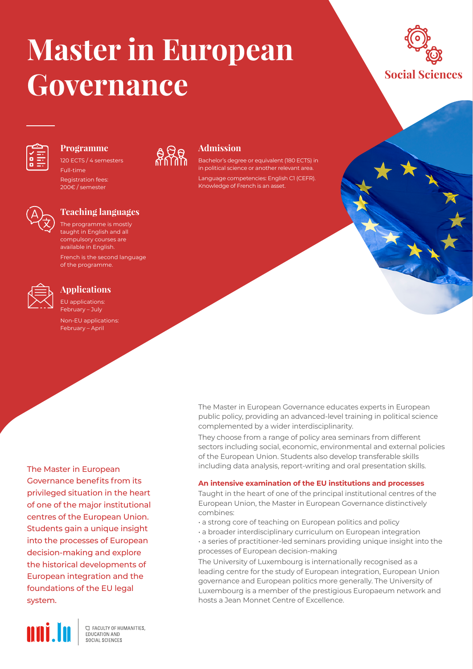# **Master in European Governance**





### **Programme**

120 ECTS / 4 semesters Full-time Registration fees: 200€ / semester



## **Teaching languages**

The programme is mostly taught in English and all compulsory courses are available in English. French is the second language

of the programme.



# **Applications**

EU applications: February – July Non-EU applications: February – April

The Master in European Governance benefits from its privileged situation in the heart of one of the major institutional centres of the European Union. Students gain a unique insight into the processes of European decision-making and explore the historical developments of European integration and the foundations of the EU legal system.



**C FACULTY OF HUMANITIES.** EDUCATION AND SOCIAL SCIENCES



## **Admission**

Bachelor's degree or equivalent (180 ECTS) in in political science or another relevant area. Language competencies: English C1 (CEFR). Knowledge of French is an asset.

The Master in European Governance educates experts in European public policy, providing an advanced-level training in political science complemented by a wider interdisciplinarity.

They choose from a range of policy area seminars from different sectors including social, economic, environmental and external policies of the European Union. Students also develop transferable skills including data analysis, report-writing and oral presentation skills.

#### **An intensive examination of the EU institutions and processes**

Taught in the heart of one of the principal institutional centres of the European Union, the Master in European Governance distinctively combines:

- a strong core of teaching on European politics and policy
- a broader interdisciplinary curriculum on European integration
- a series of practitioner-led seminars providing unique insight into the processes of European decision-making

The University of Luxembourg is internationally recognised as a leading centre for the study of European integration, European Union governance and European politics more generally. The University of Luxembourg is a member of the prestigious Europaeum network and hosts a Jean Monnet Centre of Excellence.